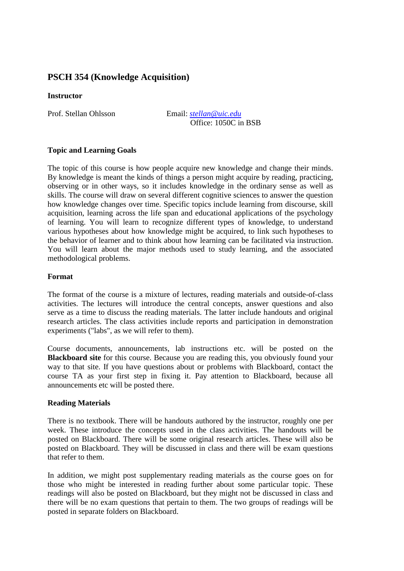# **PSCH 354 (Knowledge Acquisition)**

### **Instructor**

Prof. Stellan Ohlsson Email: *stellan@uic.edu* Office: 1050C in BSB

# **Topic and Learning Goals**

The topic of this course is how people acquire new knowledge and change their minds. By knowledge is meant the kinds of things a person might acquire by reading, practicing, observing or in other ways, so it includes knowledge in the ordinary sense as well as skills. The course will draw on several different cognitive sciences to answer the question how knowledge changes over time. Specific topics include learning from discourse, skill acquisition, learning across the life span and educational applications of the psychology of learning. You will learn to recognize different types of knowledge, to understand various hypotheses about how knowledge might be acquired, to link such hypotheses to the behavior of learner and to think about how learning can be facilitated via instruction. You will learn about the major methods used to study learning, and the associated methodological problems.

# **Format**

The format of the course is a mixture of lectures, reading materials and outside-of-class activities. The lectures will introduce the central concepts, answer questions and also serve as a time to discuss the reading materials. The latter include handouts and original research articles. The class activities include reports and participation in demonstration experiments ("labs", as we will refer to them).

Course documents, announcements, lab instructions etc. will be posted on the **Blackboard site** for this course. Because you are reading this, you obviously found your way to that site. If you have questions about or problems with Blackboard, contact the course TA as your first step in fixing it. Pay attention to Blackboard, because all announcements etc will be posted there.

### **Reading Materials**

There is no textbook. There will be handouts authored by the instructor, roughly one per week. These introduce the concepts used in the class activities. The handouts will be posted on Blackboard. There will be some original research articles. These will also be posted on Blackboard. They will be discussed in class and there will be exam questions that refer to them.

In addition, we might post supplementary reading materials as the course goes on for those who might be interested in reading further about some particular topic. These readings will also be posted on Blackboard, but they might not be discussed in class and there will be no exam questions that pertain to them. The two groups of readings will be posted in separate folders on Blackboard.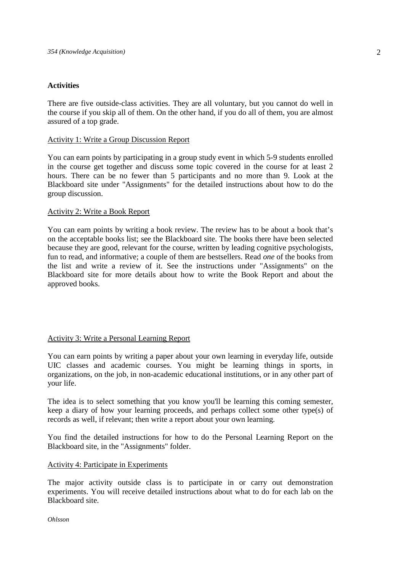# **Activities**

There are five outside-class activities. They are all voluntary, but you cannot do well in the course if you skip all of them. On the other hand, if you do all of them, you are almost assured of a top grade.

# Activity 1: Write a Group Discussion Report

You can earn points by participating in a group study event in which 5-9 students enrolled in the course get together and discuss some topic covered in the course for at least 2 hours. There can be no fewer than 5 participants and no more than 9. Look at the Blackboard site under "Assignments" for the detailed instructions about how to do the group discussion.

# Activity 2: Write a Book Report

You can earn points by writing a book review. The review has to be about a book that's on the acceptable books list; see the Blackboard site. The books there have been selected because they are good, relevant for the course, written by leading cognitive psychologists, fun to read, and informative; a couple of them are bestsellers. Read *one* of the books from the list and write a review of it. See the instructions under "Assignments" on the Blackboard site for more details about how to write the Book Report and about the approved books.

# Activity 3: Write a Personal Learning Report

You can earn points by writing a paper about your own learning in everyday life, outside UIC classes and academic courses. You might be learning things in sports, in organizations, on the job, in non-academic educational institutions, or in any other part of your life.

The idea is to select something that you know you'll be learning this coming semester, keep a diary of how your learning proceeds, and perhaps collect some other type(s) of records as well, if relevant; then write a report about your own learning.

You find the detailed instructions for how to do the Personal Learning Report on the Blackboard site, in the "Assignments" folder.

### Activity 4: Participate in Experiments

The major activity outside class is to participate in or carry out demonstration experiments. You will receive detailed instructions about what to do for each lab on the Blackboard site.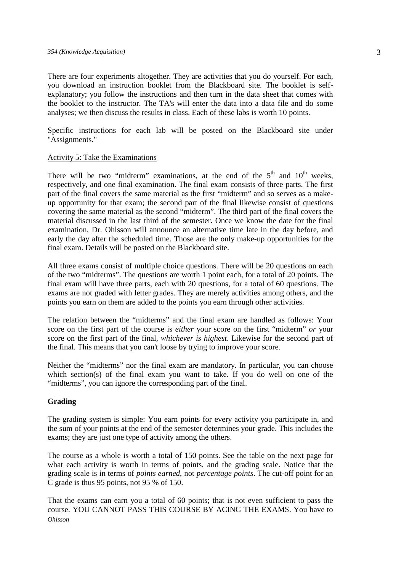#### *354 (Knowledge Acquisition)*

There are four experiments altogether. They are activities that you do yourself. For each, you download an instruction booklet from the Blackboard site. The booklet is selfexplanatory; you follow the instructions and then turn in the data sheet that comes with the booklet to the instructor. The TA's will enter the data into a data file and do some analyses; we then discuss the results in class. Each of these labs is worth 10 points.

Specific instructions for each lab will be posted on the Blackboard site under "Assignments."

#### Activity 5: Take the Examinations

There will be two "midterm" examinations, at the end of the  $5<sup>th</sup>$  and  $10<sup>th</sup>$  weeks, respectively, and one final examination. The final exam consists of three parts. The first part of the final covers the same material as the first "midterm" and so serves as a makeup opportunity for that exam; the second part of the final likewise consist of questions covering the same material as the second "midterm". The third part of the final covers the material discussed in the last third of the semester. Once we know the date for the final examination, Dr. Ohlsson will announce an alternative time late in the day before, and early the day after the scheduled time. Those are the only make-up opportunities for the final exam. Details will be posted on the Blackboard site.

All three exams consist of multiple choice questions. There will be 20 questions on each of the two "midterms". The questions are worth 1 point each, for a total of 20 points. The final exam will have three parts, each with 20 questions, for a total of 60 questions. The exams are not graded with letter grades. They are merely activities among others, and the points you earn on them are added to the points you earn through other activities.

The relation between the "midterms" and the final exam are handled as follows: Your score on the first part of the course is *either* your score on the first "midterm" *or* your score on the first part of the final, *whichever is highest*. Likewise for the second part of the final. This means that you can't loose by trying to improve your score.

Neither the "midterms" nor the final exam are mandatory. In particular, you can choose which section(s) of the final exam you want to take. If you do well on one of the "midterms", you can ignore the corresponding part of the final.

### **Grading**

The grading system is simple: You earn points for every activity you participate in, and the sum of your points at the end of the semester determines your grade. This includes the exams; they are just one type of activity among the others.

The course as a whole is worth a total of 150 points. See the table on the next page for what each activity is worth in terms of points, and the grading scale. Notice that the grading scale is in terms of *points earned*, not *percentage points*. The cut-off point for an C grade is thus 95 points, not 95 % of 150.

*Ohlsson*  That the exams can earn you a total of 60 points; that is not even sufficient to pass the course. YOU CANNOT PASS THIS COURSE BY ACING THE EXAMS. You have to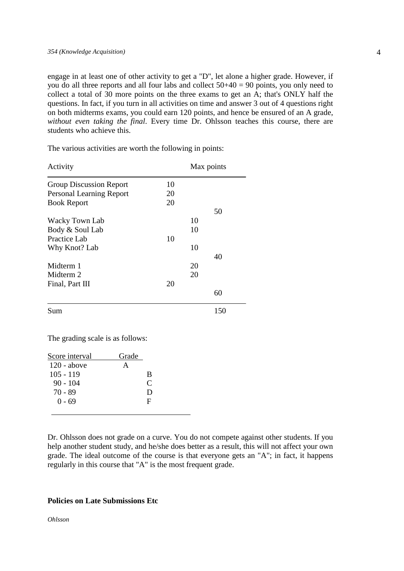engage in at least one of other activity to get a "D", let alone a higher grade. However, if you do all three reports and all four labs and collect 50+40 = 90 points, you only need to collect a total of 30 more points on the three exams to get an A; that's ONLY half the questions. In fact, if you turn in all activities on time and answer 3 out of 4 questions right on both midterms exams, you could earn 120 points, and hence be ensured of an A grade, *without even taking the final*. Every time Dr. Ohlsson teaches this course, there are students who achieve this.

Activity Max points Group Discussion Report 10 Personal Learning Report 20 Book Report 20 50 Wacky Town Lab 10 Body & Soul Lab 10 Practice Lab 10 Why Knot? Lab 10 40 Midterm 1 20 Midterm 2 20 Final, Part III 20 60

The various activities are worth the following in points:

Sum 150

The grading scale is as follows:

| Score interval | Grade |   |  |
|----------------|-------|---|--|
| $120$ - above  |       |   |  |
| $105 - 119$    |       | B |  |
| 90 - 104       |       | C |  |
| 70 - 89        |       | Ð |  |
| $0 - 69$       |       | F |  |
|                |       |   |  |

Dr. Ohlsson does not grade on a curve. You do not compete against other students. If you help another student study, and he/she does better as a result, this will not affect your own grade. The ideal outcome of the course is that everyone gets an "A"; in fact, it happens regularly in this course that "A" is the most frequent grade.

#### **Policies on Late Submissions Etc**

*Ohlsson*